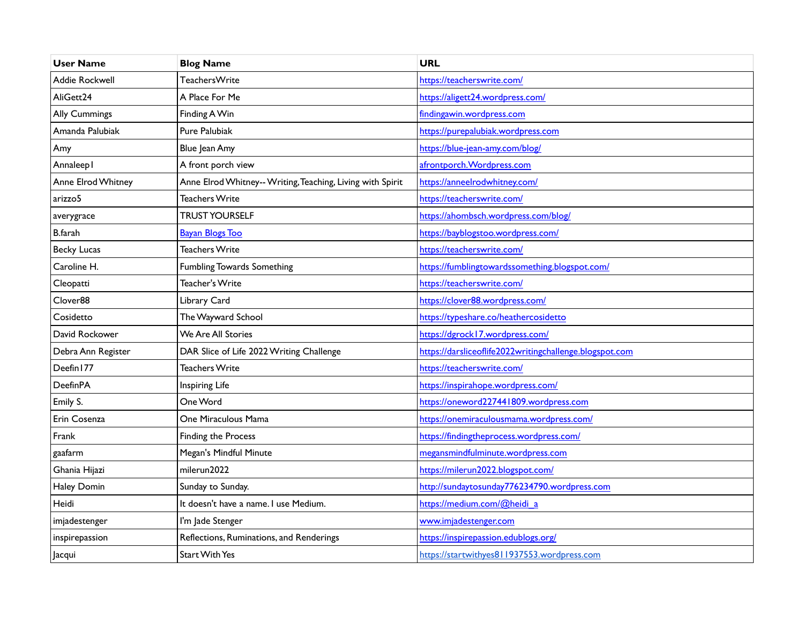| <b>User Name</b>   | <b>Blog Name</b>                                           | <b>URL</b>                                              |
|--------------------|------------------------------------------------------------|---------------------------------------------------------|
| Addie Rockwell     | TeachersWrite                                              | https://teacherswrite.com/                              |
| AliGett24          | A Place For Me                                             | https://aligett24.wordpress.com/                        |
| Ally Cummings      | Finding A Win                                              | findingawin.wordpress.com                               |
| Amanda Palubiak    | Pure Palubiak                                              | https://purepalubiak.wordpress.com                      |
| Amy                | Blue Jean Amy                                              | https://blue-jean-amy.com/blog/                         |
| Annaleep I         | A front porch view                                         | afrontporch. Wordpress.com                              |
| Anne Elrod Whitney | Anne Elrod Whitney-- Writing, Teaching, Living with Spirit | https://anneelrodwhitney.com/                           |
| arizzo5            | Teachers Write                                             | https://teacherswrite.com/                              |
| averygrace         | <b>TRUST YOURSELF</b>                                      | https://ahombsch.wordpress.com/blog/                    |
| <b>B</b> .farah    | <b>Bayan Blogs Too</b>                                     | https://bayblogstoo.wordpress.com/                      |
| <b>Becky Lucas</b> | <b>Teachers Write</b>                                      | https://teacherswrite.com/                              |
| Caroline H.        | Fumbling Towards Something                                 | https://fumblingtowardssomething.blogspot.com/          |
| Cleopatti          | Teacher's Write                                            | https://teacherswrite.com/                              |
| Clover88           | Library Card                                               | https://clover88.wordpress.com/                         |
| Cosidetto          | The Wayward School                                         | https://typeshare.co/heathercosidetto                   |
| David Rockower     | We Are All Stories                                         | https://dgrock17.wordpress.com/                         |
| Debra Ann Register | DAR Slice of Life 2022 Writing Challenge                   | https://darsliceoflife2022writingchallenge.blogspot.com |
| Deefin177          | <b>Teachers Write</b>                                      | https://teacherswrite.com/                              |
| <b>DeefinPA</b>    | Inspiring Life                                             | https://inspirahope.wordpress.com/                      |
| Emily S.           | One Word                                                   | https://oneword227441809.wordpress.com                  |
| Erin Cosenza       | One Miraculous Mama                                        | https://onemiraculousmama.wordpress.com/                |
| Frank              | Finding the Process                                        | https://findingtheprocess.wordpress.com/                |
| gaafarm            | Megan's Mindful Minute                                     | megansmindfulminute.wordpress.com                       |
| Ghania Hijazi      | milerun2022                                                | https://milerun2022.blogspot.com/                       |
| Haley Domin        | Sunday to Sunday.                                          | http://sundaytosunday776234790.wordpress.com            |
| Heidi              | It doesn't have a name. I use Medium.                      | https://medium.com/@heidi a                             |
| imjadestenger      | I'm Jade Stenger                                           | www.imjadestenger.com                                   |
| inspirepassion     | Reflections, Ruminations, and Renderings                   | https://inspirepassion.edublogs.org/                    |
| Jacqui             | <b>Start With Yes</b>                                      | https://startwithyes811937553.wordpress.com             |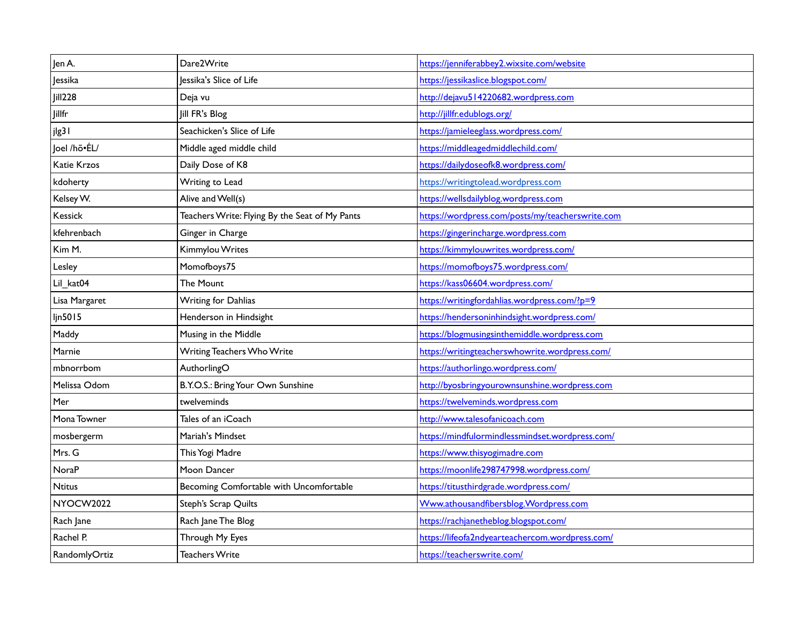| Jen A.         | Dare2Write                                     | https://jenniferabbey2.wixsite.com/website       |
|----------------|------------------------------------------------|--------------------------------------------------|
| Jessika        | Jessika's Slice of Life                        | https://jessikaslice.blogspot.com/               |
| <b>Jill228</b> | Deja vu                                        | http://dejavu514220682.wordpress.com             |
| <b>Jillfr</b>  | Jill FR's Blog                                 | http://jillfr.edublogs.org/                      |
| jlg3 I         | Seachicken's Slice of Life                     | https://jamieleeglass.wordpress.com/             |
| Joel /hō·ÉL/   | Middle aged middle child                       | https://middleagedmiddlechild.com/               |
| Katie Krzos    | Daily Dose of K8                               | https://dailydoseofk8.wordpress.com/             |
| kdoherty       | Writing to Lead                                | https://writingtolead.wordpress.com              |
| Kelsey W.      | Alive and Well(s)                              | https://wellsdailyblog.wordpress.com             |
| Kessick        | Teachers Write: Flying By the Seat of My Pants | https://wordpress.com/posts/my/teacherswrite.com |
| kfehrenbach    | Ginger in Charge                               | https://gingerincharge.wordpress.com             |
| Kim M.         | Kimmylou Writes                                | https://kimmylouwrites.wordpress.com/            |
| Lesley         | Momofboys75                                    | https://momofboys75.wordpress.com/               |
| Lil_kat04      | The Mount                                      | https://kass06604.wordpress.com/                 |
| Lisa Margaret  | Writing for Dahlias                            | https://writingfordahlias.wordpress.com/?p=9     |
| ljn5015        | Henderson in Hindsight                         | https://hendersoninhindsight.wordpress.com/      |
| Maddy          | Musing in the Middle                           | https://blogmusingsinthemiddle.wordpress.com     |
| Marnie         | Writing Teachers Who Write                     | https://writingteacherswhowrite.wordpress.com/   |
| mbnorrbom      | AuthorlingO                                    | https://authorlingo.wordpress.com/               |
| Melissa Odom   | B.Y.O.S.: Bring Your Own Sunshine              | http://byosbringyourownsunshine.wordpress.com    |
| Mer            | twelveminds                                    | https://twelveminds.wordpress.com                |
| Mona Towner    | Tales of an iCoach                             | http://www.talesofanicoach.com                   |
| mosbergerm     | Mariah's Mindset                               | https://mindfulormindlessmindset.wordpress.com/  |
| Mrs. G         | This Yogi Madre                                | https://www.thisyogimadre.com                    |
| <b>NoraP</b>   | Moon Dancer                                    | https://moonlife298747998.wordpress.com/         |
| <b>Ntitus</b>  | Becoming Comfortable with Uncomfortable        | https://titusthirdgrade.wordpress.com/           |
| NYOCW2022      | Steph's Scrap Quilts                           | Www.athousandfibersblog. Wordpress.com           |
| Rach Jane      | Rach Jane The Blog                             | https://rachjanetheblog.blogspot.com/            |
| Rachel P.      | Through My Eyes                                | https://lifeofa2ndyearteachercom.wordpress.com/  |
| RandomlyOrtiz  | <b>Teachers Write</b>                          | https://teacherswrite.com/                       |